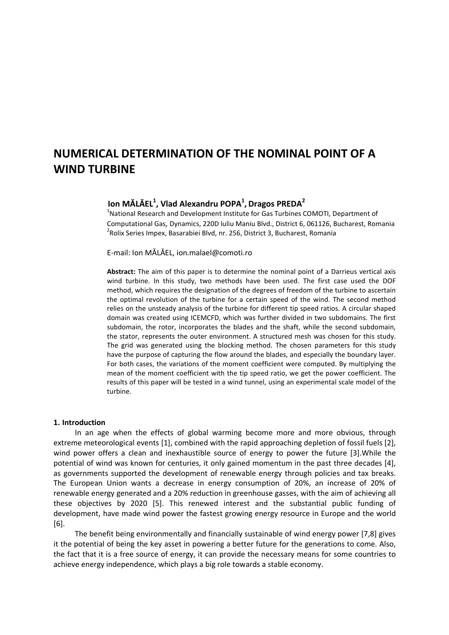# **NUMERICAL DETERMINATION OF THE NOMINAL POINT OF A WIND TURBINE**

# **Ion MĂLĂEL<sup>1</sup> , Vlad Alexandru POPA<sup>1</sup> , Dragos PREDA<sup>2</sup>**

<sup>1</sup>National Research and Development Institute for Gas Turbines COMOTI, Department of Computational Gas, Dynamics, 220D Iuliu Maniu Blvd., District 6, 061126, Bucharest, Romania <sup>2</sup>Rolix Series Impex, Basarabiei Blvd, nr. 256, District 3, Bucharest, Romania

E-mail: Ion MĂLĂEL, ion.malael@comoti.ro

**Abstract:** The aim of this paper is to determine the nominal point of a Darrieus vertical axis wind turbine. In this study, two methods have been used. The first case used the DOF method, which requires the designation of the degrees of freedom of the turbine to ascertain the optimal revolution of the turbine for a certain speed of the wind. The second method relies on the unsteady analysis of the turbine for different tip speed ratios. A circular shaped domain was created using ICEMCFD, which was further divided in two subdomains. The first subdomain, the rotor, incorporates the blades and the shaft, while the second subdomain, the stator, represents the outer environment. A structured mesh was chosen for this study. The grid was generated using the blocking method. The chosen parameters for this study have the purpose of capturing the flow around the blades, and especially the boundary layer. For both cases, the variations of the moment coefficient were computed. By multiplying the mean of the moment coefficient with the tip speed ratio, we get the power coefficient. The results of this paper will be tested in a wind tunnel, using an experimental scale model of the turbine.

#### **1. Introduction**

 In an age when the effects of global warming become more and more obvious, through extreme meteorological events [1], combined with the rapid approaching depletion of fossil fuels [2], wind power offers a clean and inexhaustible source of energy to power the future [3].While the potential of wind was known for centuries, it only gained momentum in the past three decades [4], as governments supported the development of renewable energy through policies and tax breaks. The European Union wants a decrease in energy consumption of 20%, an increase of 20% of renewable energy generated and a 20% reduction in greenhouse gasses, with the aim of achieving all these objectives by 2020 [5]. This renewed interest and the substantial public funding of development, have made wind power the fastest growing energy resource in Europe and the world [6].

 The benefit being environmentally and financially sustainable of wind energy power [7,8] gives it the potential of being the key asset in powering a better future for the generations to come. Also, the fact that it is a free source of energy, it can provide the necessary means for some countries to achieve energy independence, which plays a big role towards a stable economy.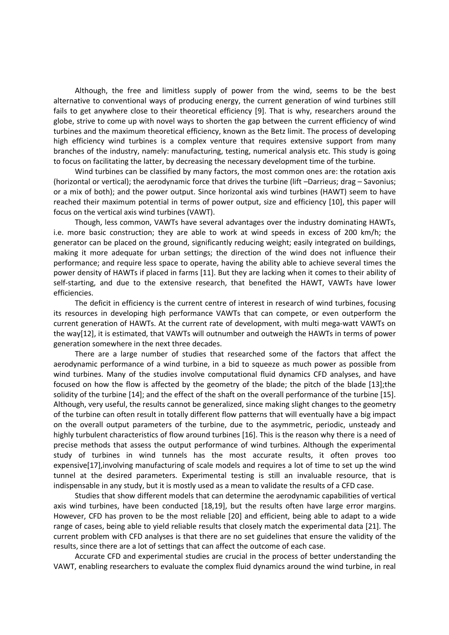Although, the free and limitless supply of power from the wind, seems to be the best alternative to conventional ways of producing energy, the current generation of wind turbines still fails to get anywhere close to their theoretical efficiency [9]. That is why, researchers around the globe, strive to come up with novel ways to shorten the gap between the current efficiency of wind turbines and the maximum theoretical efficiency, known as the Betz limit. The process of developing high efficiency wind turbines is a complex venture that requires extensive support from many branches of the industry, namely: manufacturing, testing, numerical analysis etc. This study is going to focus on facilitating the latter, by decreasing the necessary development time of the turbine.

 Wind turbines can be classified by many factors, the most common ones are: the rotation axis (horizontal or vertical); the aerodynamic force that drives the turbine (lift –Darrieus; drag – Savonius; or a mix of both); and the power output. Since horizontal axis wind turbines (HAWT) seem to have reached their maximum potential in terms of power output, size and efficiency [10], this paper will focus on the vertical axis wind turbines (VAWT).

 Though, less common, VAWTs have several advantages over the industry dominating HAWTs, i.e. more basic construction; they are able to work at wind speeds in excess of 200 km/h; the generator can be placed on the ground, significantly reducing weight; easily integrated on buildings, making it more adequate for urban settings; the direction of the wind does not influence their performance; and require less space to operate, having the ability able to achieve several times the power density of HAWTs if placed in farms [11]. But they are lacking when it comes to their ability of self-starting, and due to the extensive research, that benefited the HAWT, VAWTs have lower efficiencies.

 The deficit in efficiency is the current centre of interest in research of wind turbines, focusing its resources in developing high performance VAWTs that can compete, or even outperform the current generation of HAWTs. At the current rate of development, with multi mega-watt VAWTs on the way[12], it is estimated, that VAWTs will outnumber and outweigh the HAWTs in terms of power generation somewhere in the next three decades.

 There are a large number of studies that researched some of the factors that affect the aerodynamic performance of a wind turbine, in a bid to squeeze as much power as possible from wind turbines. Many of the studies involve computational fluid dynamics CFD analyses, and have focused on how the flow is affected by the geometry of the blade; the pitch of the blade [13];the solidity of the turbine [14]; and the effect of the shaft on the overall performance of the turbine [15]. Although, very useful, the results cannot be generalized, since making slight changes to the geometry of the turbine can often result in totally different flow patterns that will eventually have a big impact on the overall output parameters of the turbine, due to the asymmetric, periodic, unsteady and highly turbulent characteristics of flow around turbines [16]. This is the reason why there is a need of precise methods that assess the output performance of wind turbines. Although the experimental study of turbines in wind tunnels has the most accurate results, it often proves too expensive[17],involving manufacturing of scale models and requires a lot of time to set up the wind tunnel at the desired parameters. Experimental testing is still an invaluable resource, that is indispensable in any study, but it is mostly used as a mean to validate the results of a CFD case.

 Studies that show different models that can determine the aerodynamic capabilities of vertical axis wind turbines, have been conducted [18,19], but the results often have large error margins. However, CFD has proven to be the most reliable [20] and efficient, being able to adapt to a wide range of cases, being able to yield reliable results that closely match the experimental data [21]. The current problem with CFD analyses is that there are no set guidelines that ensure the validity of the results, since there are a lot of settings that can affect the outcome of each case.

 Accurate CFD and experimental studies are crucial in the process of better understanding the VAWT, enabling researchers to evaluate the complex fluid dynamics around the wind turbine, in real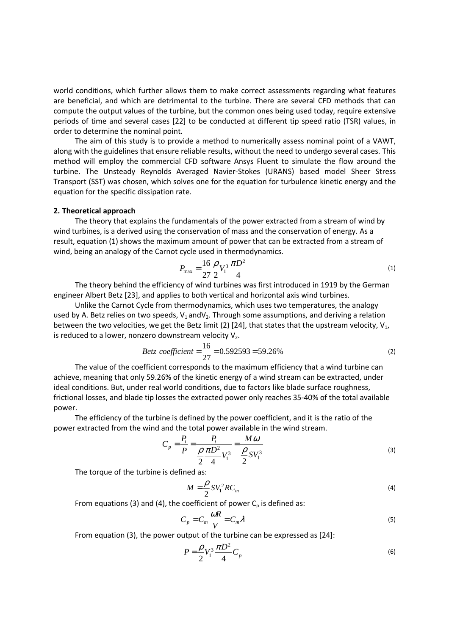world conditions, which further allows them to make correct assessments regarding what features are beneficial, and which are detrimental to the turbine. There are several CFD methods that can compute the output values of the turbine, but the common ones being used today, require extensive periods of time and several cases [22] to be conducted at different tip speed ratio (TSR) values, in order to determine the nominal point.

 The aim of this study is to provide a method to numerically assess nominal point of a VAWT, along with the guidelines that ensure reliable results, without the need to undergo several cases. This method will employ the commercial CFD software Ansys Fluent to simulate the flow around the turbine. The Unsteady Reynolds Averaged Navier-Stokes (URANS) based model Sheer Stress Transport (SST) was chosen, which solves one for the equation for turbulence kinetic energy and the equation for the specific dissipation rate.

#### **2. Theoretical approach**

The theory that explains the fundamentals of the power extracted from a stream of wind by wind turbines, is a derived using the conservation of mass and the conservation of energy. As a result, equation (1) shows the maximum amount of power that can be extracted from a stream of wind, being an analogy of the Carnot cycle used in thermodynamics.

$$
P_{\text{max}} = \frac{16}{27} \frac{\rho}{2} V_1^3 \frac{\pi D^2}{4}
$$
 (1)

 The theory behind the efficiency of wind turbines was first introduced in 1919 by the German engineer Albert Betz [23], and applies to both vertical and horizontal axis wind turbines.

 Unlike the Carnot Cycle from thermodynamics, which uses two temperatures, the analogy used by A. Betz relies on two speeds,  $V_1$  and  $V_2$ . Through some assumptions, and deriving a relation between the two velocities, we get the Betz limit (2) [24], that states that the upstream velocity,  $V_1$ , is reduced to a lower, nonzero downstream velocity  $V_2$ .

$$
Betz\ coefficient = \frac{16}{27} = 0.592593 = 59.26\%
$$
 (2)

 The value of the coefficient corresponds to the maximum efficiency that a wind turbine can achieve, meaning that only 59.26% of the kinetic energy of a wind stream can be extracted, under ideal conditions. But, under real world conditions, due to factors like blade surface roughness, frictional losses, and blade tip losses the extracted power only reaches 35-40% of the total available power.

 The efficiency of the turbine is defined by the power coefficient, and it is the ratio of the power extracted from the wind and the total power available in the wind stream.

$$
C_p = \frac{P_t}{P} = \frac{P_t}{\frac{\rho}{2} \frac{\pi D^2}{4} V_1^3} = \frac{M \omega}{\frac{\rho}{2} S V_1^3}
$$
(3)

The torque of the turbine is defined as:

$$
M = \frac{\rho}{2} S V_1^2 R C_m \tag{4}
$$

From equations (3) and (4), the coefficient of power  $C_p$  is defined as:

$$
C_p = C_m \frac{\omega R}{V} = C_m \lambda
$$
\n(5)

From equation (3), the power output of the turbine can be expressed as [24]:

$$
P = \frac{\rho}{2} V_1^3 \frac{\pi D^2}{4} C_p
$$
 (6)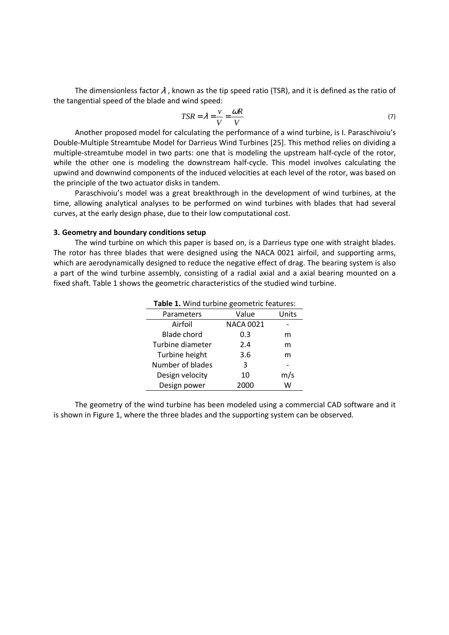The dimensionless factor  $\lambda$ , known as the tip speed ratio (TSR), and it is defined as the ratio of the tangential speed of the blade and wind speed:

$$
TSR = \lambda = \frac{v}{V} = \frac{\omega R}{V}
$$
 (7)

 Another proposed model for calculating the performance of a wind turbine, is I. Paraschivoiu's Double-Multiple Streamtube Model for Darrieus Wind Turbines [25]. This method relies on dividing a multiple-streamtube model in two parts: one that is modeling the upstream half-cycle of the rotor, while the other one is modeling the downstream half-cycle. This model involves calculating the upwind and downwind components of the induced velocities at each level of the rotor, was based on the principle of the two actuator disks in tandem.

 Paraschivoiu's model was a great breakthrough in the development of wind turbines, at the time, allowing analytical analyses to be performed on wind turbines with blades that had several curves, at the early design phase, due to their low computational cost.

#### **3. Geometry and boundary conditions setup**

 The wind turbine on which this paper is based on, is a Darrieus type one with straight blades. The rotor has three blades that were designed using the NACA 0021 airfoil, and supporting arms, which are aerodynamically designed to reduce the negative effect of drag. The bearing system is also a part of the wind turbine assembly, consisting of a radial axial and a axial bearing mounted on a fixed shaft. Table 1 shows the geometric characteristics of the studied wind turbine.

| <b>Table 1.</b> Willia turblife geometric reatures. |                  |       |  |  |
|-----------------------------------------------------|------------------|-------|--|--|
| Parameters                                          | Value            | Units |  |  |
| Airfoil                                             | <b>NACA 0021</b> |       |  |  |
| <b>Blade chord</b>                                  | 0.3              | m     |  |  |
| Turbine diameter                                    | 2.4              | m     |  |  |
| Turbine height                                      | 3.6              | m     |  |  |
| Number of blades                                    | 3                |       |  |  |
| Design velocity                                     | 10               | m/s   |  |  |
| Design power                                        | 2000             | W     |  |  |
|                                                     |                  |       |  |  |

**Table 1.** Wind turbine geometric features:

 The geometry of the wind turbine has been modeled using a commercial CAD software and it is shown in Figure 1, where the three blades and the supporting system can be observed.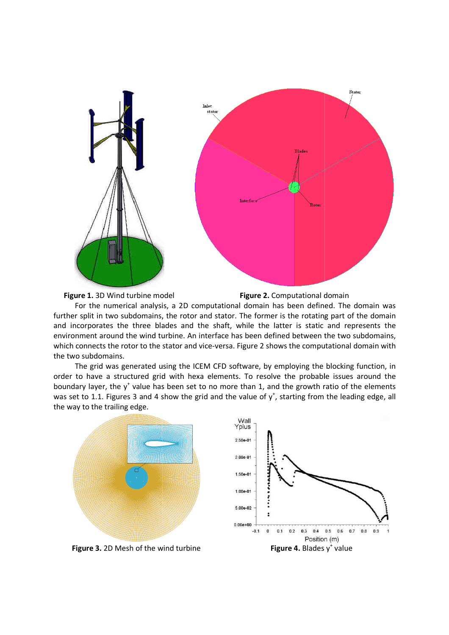



**Figure 2.** Computational domain

 For the numerical analysis, a 2D computational domain has been defined. The domain was further split in two subdomains, the rotor and stator. The former is the rotating part of the domain and incorporates the three blades and the shaft, while the latter is static and represents the environment around the wind turbine. An interface has been defined between the two subdomains, which connects the rotor to the stator and vice-versa. Figure 2 shows the computational domain with the two subdomains.

The grid was generated using the ICEM CFD software, by employing the blocking function, in order to have a structured grid with hexa elements. To resolve the probable issues around the boundary layer, the  $y^+$  value has been set to no more than 1, and the growth ratio of the ele was set to 1.1. Figures 3 and 4 show the grid and the value of  $y^*$ , starting from the leading edge, all the way to the trailing edge. versa. Figure 2 shows the computational domain with<br>CFD software, by employing the blocking function, in<br>ements. To resolve the probable issues around the<br>p more than 1, and the growth ratio of the elements

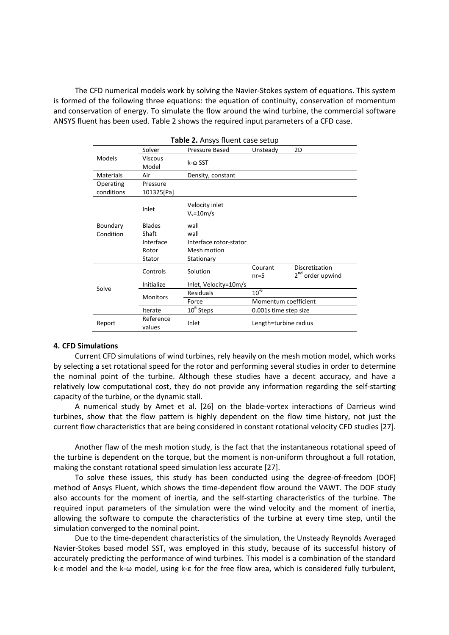The CFD numerical models work by solving the Navier-Stokes system of equations. This system is formed of the following three equations: the equation of continuity, conservation of momentum and conservation of energy. To simulate the flow around the wind turbine, the commercial software ANSYS fluent has been used. Table 2 shows the required input parameters of a CFD case.

| <b>Table 2.</b> Ansys Huent case setup |                     |                        |                       |                              |  |  |  |
|----------------------------------------|---------------------|------------------------|-----------------------|------------------------------|--|--|--|
|                                        | Solver              | Pressure Based         | Unsteady              | 2D                           |  |  |  |
| <b>Models</b>                          | Viscous             | k-ಎ SST                |                       |                              |  |  |  |
|                                        | Model               |                        |                       |                              |  |  |  |
| Materials                              | Air                 | Density, constant      |                       |                              |  |  |  |
| Operating                              | Pressure            |                        |                       |                              |  |  |  |
| conditions                             | 101325[Pa]          |                        |                       |                              |  |  |  |
|                                        |                     | Velocity inlet         |                       |                              |  |  |  |
|                                        | Inlet               | $V_r = 10m/s$          |                       |                              |  |  |  |
| Boundary                               | <b>Blades</b>       | wall                   |                       |                              |  |  |  |
| Condition                              | Shaft               | wall                   |                       |                              |  |  |  |
|                                        | Interface           | Interface rotor-stator |                       |                              |  |  |  |
|                                        | Rotor               | Mesh motion            |                       |                              |  |  |  |
|                                        | Stator              | Stationary             |                       |                              |  |  |  |
| Solve                                  | Controls            | Solution               | Courant               | Discretization               |  |  |  |
|                                        |                     |                        | $nr=5$                | 2 <sup>nd</sup> order upwind |  |  |  |
|                                        | Initialize          | Inlet, Velocity=10m/s  |                       |                              |  |  |  |
|                                        | <b>Monitors</b>     | <b>Residuals</b>       | $10^{-6}$             |                              |  |  |  |
|                                        |                     | Force                  | Momentum coefficient  |                              |  |  |  |
|                                        | Iterate             | $106$ Steps            | 0.001s time step size |                              |  |  |  |
| Report                                 | Reference<br>values | Inlet                  | Length=turbine radius |                              |  |  |  |

# **Table 2.** Ansys fluent case setup

### **4. CFD Simulations**

 Current CFD simulations of wind turbines, rely heavily on the mesh motion model, which works by selecting a set rotational speed for the rotor and performing several studies in order to determine the nominal point of the turbine. Although these studies have a decent accuracy, and have a relatively low computational cost, they do not provide any information regarding the self-starting capacity of the turbine, or the dynamic stall.

 A numerical study by Amet et al. [26] on the blade-vortex interactions of Darrieus wind turbines, show that the flow pattern is highly dependent on the flow time history, not just the current flow characteristics that are being considered in constant rotational velocity CFD studies [27].

 Another flaw of the mesh motion study, is the fact that the instantaneous rotational speed of the turbine is dependent on the torque, but the moment is non-uniform throughout a full rotation, making the constant rotational speed simulation less accurate [27].

 To solve these issues, this study has been conducted using the degree-of-freedom (DOF) method of Ansys Fluent, which shows the time-dependent flow around the VAWT. The DOF study also accounts for the moment of inertia, and the self-starting characteristics of the turbine. The required input parameters of the simulation were the wind velocity and the moment of inertia, allowing the software to compute the characteristics of the turbine at every time step, until the simulation converged to the nominal point.

 Due to the time-dependent characteristics of the simulation, the Unsteady Reynolds Averaged Navier-Stokes based model SST, was employed in this study, because of its successful history of accurately predicting the performance of wind turbines. This model is a combination of the standard k-ε model and the k-ω model, using k-ε for the free flow area, which is considered fully turbulent,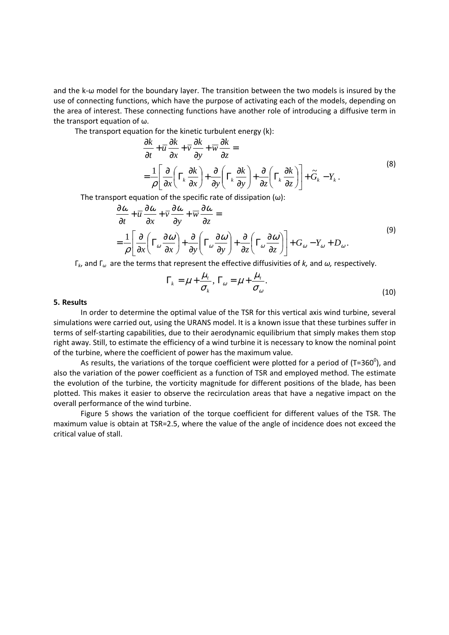and the k-ω model for the boundary layer. The transition between the two models is insured by the use of connecting functions, which have the purpose of activating each of the models, depending on the area of interest. These connecting functions have another role of introducing a diffusive term in the transport equation of ω.

The transport equation for the kinetic turbulent energy (k):

$$
\frac{\partial k}{\partial t} + \overline{u} \frac{\partial k}{\partial x} + \overline{v} \frac{\partial k}{\partial y} + \overline{w} \frac{\partial k}{\partial z} =
$$
\n
$$
= \frac{1}{\rho} \left[ \frac{\partial}{\partial x} \left( \Gamma_k \frac{\partial k}{\partial x} \right) + \frac{\partial}{\partial y} \left( \Gamma_k \frac{\partial k}{\partial y} \right) + \frac{\partial}{\partial z} \left( \Gamma_k \frac{\partial k}{\partial z} \right) \right] + \widetilde{G}_k - Y_k.
$$
\n(8)

The transport equation of the specific rate of dissipation  $(\omega)$ :

$$
\frac{\partial \omega}{\partial t} + \overline{u} \frac{\partial \omega}{\partial x} + \overline{v} \frac{\partial \omega}{\partial y} + \overline{w} \frac{\partial \omega}{\partial z} =
$$
\n
$$
= \frac{1}{\rho} \left[ \frac{\partial}{\partial x} \left( \Gamma_{\omega} \frac{\partial \omega}{\partial x} \right) + \frac{\partial}{\partial y} \left( \Gamma_{\omega} \frac{\partial \omega}{\partial y} \right) + \frac{\partial}{\partial z} \left( \Gamma_{\omega} \frac{\partial \omega}{\partial z} \right) \right] + G_{\omega} - Y_{\omega} + D_{\omega}.
$$
\n(9)

Γ*k*, and Γ*ω* are the terms that represent the effective diffusivities of *k,* and *ω,* respectively.

$$
\Gamma_k = \mu + \frac{\mu_t}{\sigma_k}, \ \Gamma_\omega = \mu + \frac{\mu_t}{\sigma_\omega}.
$$
\n(10)

#### **5. Results**

In order to determine the optimal value of the TSR for this vertical axis wind turbine, several simulations were carried out, using the URANS model. It is a known issue that these turbines suffer in terms of self-starting capabilities, due to their aerodynamic equilibrium that simply makes them stop right away. Still, to estimate the efficiency of a wind turbine it is necessary to know the nominal point of the turbine, where the coefficient of power has the maximum value.

As results, the variations of the torque coefficient were plotted for a period of (T=360<sup>0</sup>), and also the variation of the power coefficient as a function of TSR and employed method. The estimate the evolution of the turbine, the vorticity magnitude for different positions of the blade, has been plotted. This makes it easier to observe the recirculation areas that have a negative impact on the overall performance of the wind turbine.

Figure 5 shows the variation of the torque coefficient for different values of the TSR. The maximum value is obtain at TSR=2.5, where the value of the angle of incidence does not exceed the critical value of stall.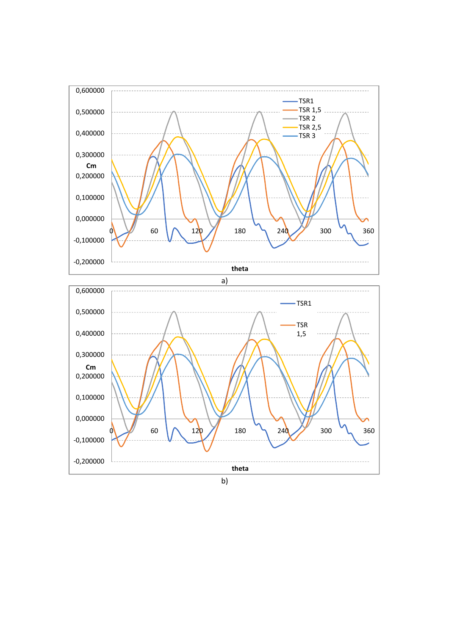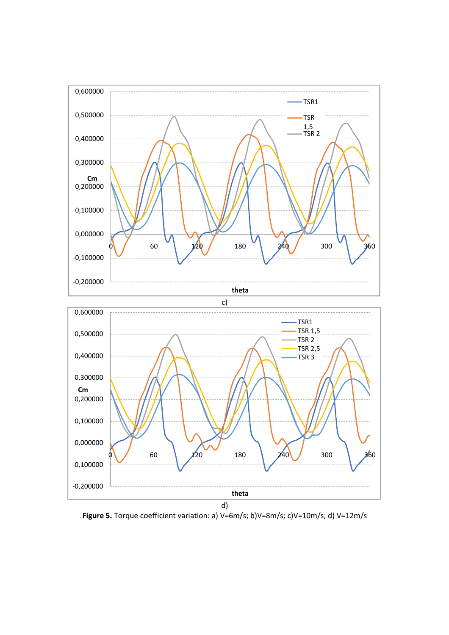

**Figure 5.** Torque coefficient variation: a) V=6m/s; b)V=8m/s; c)V=10m/s; d) V=12m/s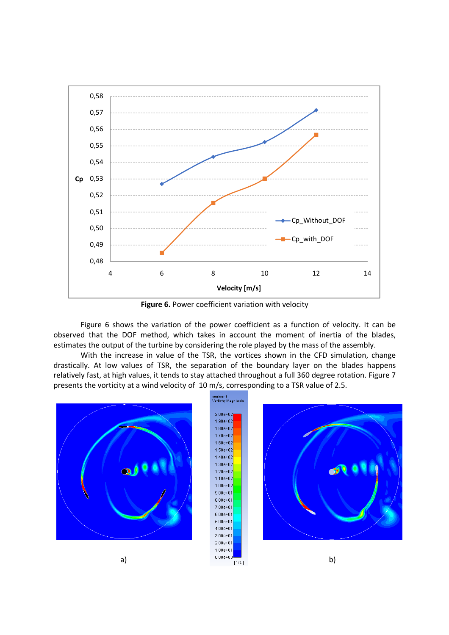

**Figure 6.** Power coefficient variation with velocity

Figure 6 shows the variation of the power coefficient as a function of velocity. It can be observed that the DOF method, which takes in account the moment of inertia of the blades, estimates the output of the turbine by considering the role played by the mass of the assembly.

With the increase in value of the TSR, the vortices shown in the CFD simulation, change drastically. At low values of TSR, the separation of the boundary layer on the blades happens relatively fast, at high values, it tends to stay attached throughout a full 360 degree rotation. Figure 7 presents the vorticity at a wind velocity of 10 m/s, corresponding to a TSR value of 2.5.



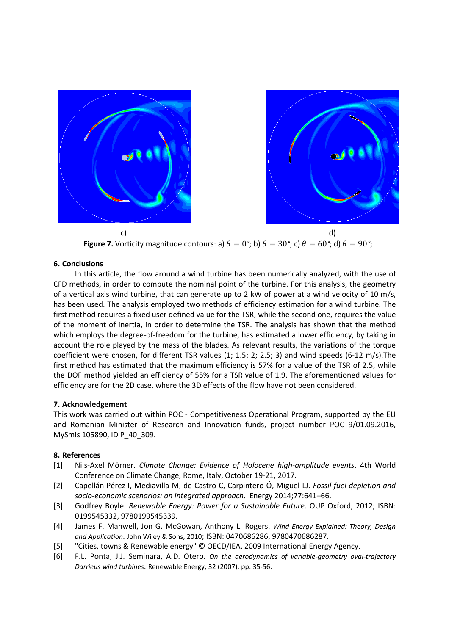

**Figure 7.** Vorticity magnitude contours: a)  $\theta = 0^\circ$ ; b)  $\theta = 30^\circ$ ; c)  $\theta = 60^\circ$ ; d)  $\theta = 90^\circ$ ;

## **6. Conclusions**

 In this article, the flow around a wind turbine has been numerically analyzed, with the use of CFD methods, in order to compute the nominal point of the turbine. For this analysis, the geometry of a vertical axis wind turbine, that can generate up to 2 kW of power at a wind velocity of 10 m/s, has been used. The analysis employed two methods of efficiency estimation for a wind turbine. The first method requires a fixed user defined value for the TSR, while the second one, requires the value of the moment of inertia, in order to determine the TSR. The analysis has shown that the method which employs the degree-of-freedom for the turbine, has estimated a lower efficiency, by taking in account the role played by the mass of the blades. As relevant results, the variations of the torque coefficient were chosen, for different TSR values (1; 1.5; 2; 2.5; 3) and wind speeds (6-12 m/s).The first method has estimated that the maximum efficiency is 57% for a value of the TSR of 2.5, while the DOF method yielded an efficiency of 55% for a TSR value of 1.9. The aforementioned values for efficiency are for the 2D case, where the 3D effects of the flow have not been considered.

## **7. Acknowledgement**

This work was carried out within POC - Competitiveness Operational Program, supported by the EU and Romanian Minister of Research and Innovation funds, project number POC 9/01.09.2016, MySmis 105890, ID P\_40\_309.

#### **8. References**

- [1] Nils-Axel Mörner. *Climate Change: Evidence of Holocene high-amplitude events*. 4th World Conference on Climate Change, Rome, Italy, October 19-21, 2017.
- [2] Capellán-Pérez I, Mediavilla M, de Castro C, Carpintero Ó, Miguel LJ. *Fossil fuel depletion and socio-economic scenarios: an integrated approach*. Energy 2014;77:641–66.
- [3] Godfrey Boyle. *Renewable Energy: Power for a Sustainable Future*. OUP Oxford, 2012; ISBN: 0199545332, 9780199545339.
- [4] James F. Manwell, Jon G. McGowan, Anthony L. Rogers. *Wind Energy Explained: Theory, Design and Application*. John Wiley & Sons, 2010; ISBN: 0470686286, 9780470686287.
- [5] "Cities, towns & Renewable energy" © OECD/IEA, 2009 International Energy Agency.
- [6] F.L. Ponta, J.J. Seminara, A.D. Otero. *On the aerodynamics of variable-geometry oval-trajectory Darrieus wind turbines*. Renewable Energy, 32 (2007), pp. 35-56.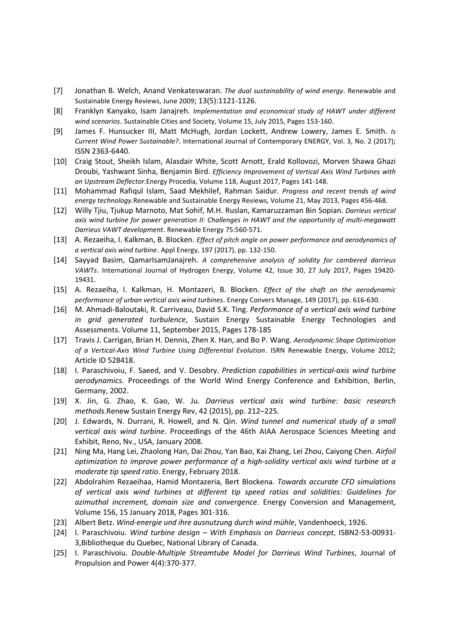- [7] Jonathan B. Welch, Anand Venkateswaran. *The dual sustainability of wind energy*. Renewable and Sustainable Energy Reviews, June 2009; 13(5):1121-1126.
- [8] Franklyn Kanyako, Isam Janajreh. *Implementation and economical study of HAWT under different wind scenarios*. Sustainable Cities and Society, Volume 15, July 2015, Pages 153-160.
- [9] James F. Hunsucker III, Matt McHugh, Jordan Lockett, Andrew Lowery, James E. Smith. *Is Current Wind Power Sustainable?*. International Journal of Contemporary ENERGY, Vol. 3, No. 2 (2017); ISSN 2363-6440.
- [10] Craig Stout, Sheikh Islam, Alasdair White, Scott Arnott, Erald Kollovozi, Morven Shawa Ghazi Droubi, Yashwant Sinha, Benjamin Bird. *Efficiency Improvement of Vertical Axis Wind Turbines with an Upstream Deflector.*Energy Procedia, Volume 118, August 2017, Pages 141-148.
- [11] Mohammad Rafiqul Islam, Saad Mekhilef, Rahman Saidur. *Progress and recent trends of wind energy technology.*Renewable and Sustainable Energy Reviews, Volume 21, May 2013, Pages 456-468.
- [12] Willy Tjiu, Tjukup Marnoto, Mat Sohif, M.H. Ruslan, Kamaruzzaman Bin Sopian. *Darrieus vertical axis wind turbine for power generation II: Challenges in HAWT and the opportunity of multi-megawatt Darrieus VAWT development*. Renewable Energy 75:560-571.
- [13] A. Rezaeiha, I. Kalkman, B. Blocken. *Effect of pitch angle on power performance and aerodynamics of a vertical axis wind turbine*. Appl Energy, 197 (2017), pp. 132-150.
- [14] Sayyad Basim, QamarIsamJanajreh. *A comprehensive analysis of solidity for cambered darrieus VAWTs*. International Journal of Hydrogen Energy, Volume 42, Issue 30, 27 July 2017, Pages 19420- 19431.
- [15] A. Rezaeiha, I. Kalkman, H. Montazeri, B. Blocken. *Effect of the shaft on the aerodynamic performance of urban vertical axis wind turbines*. Energy Convers Manage, 149 (2017), pp. 616-630.
- [16] M. Ahmadi-Baloutaki, R. Carriveau, David S.K. Ting. *Performance of a vertical axis wind turbine in grid generated turbulence*, Sustain Energy Sustainable Energy Technologies and Assessments. Volume 11, September 2015, Pages 178-185
- [17] Travis J. Carrigan, Brian H. Dennis, Zhen X. Han, and Bo P. Wang. *Aerodynamic Shape Optimization of a Vertical-Axis Wind Turbine Using Differential Evolution*. ISRN Renewable Energy, Volume 2012; Article ID 528418.
- [18] I. Paraschivoiu, F. Saeed, and V. Desobry. *Prediction capabilities in vertical-axis wind turbine aerodynamics.* Proceedings of the World Wind Energy Conference and Exhibition, Berlin, Germany, 2002.
- [19] X. Jin, G. Zhao, K. Gao, W. Ju. *Darrieus vertical axis wind turbine: basic research methods*.Renew Sustain Energy Rev, 42 (2015), pp. 212–225.
- [20] J. Edwards, N. Durrani, R. Howell, and N. Qin. *Wind tunnel and numerical study of a small vertical axis wind turbine*. Proceedings of the 46th AIAA Aerospace Sciences Meeting and Exhibit, Reno, Nv., USA, January 2008.
- [21] Ning Ma, Hang Lei, Zhaolong Han, Dai Zhou, Yan Bao, Kai Zhang, Lei Zhou, Caiyong Chen. *Airfoil optimization to improve power performance of a high-solidity vertical axis wind turbine at a moderate tip speed ratio*. Energy, February 2018.
- [22] Abdolrahim Rezaeihaa, Hamid Montazeria, Bert Blockena. *Towards accurate CFD simulations of vertical axis wind turbines at different tip speed ratios and solidities: Guidelines for azimuthal increment, domain size and convergence*. Energy Conversion and Management, Volume 156, 15 January 2018, Pages 301-316.
- [23] Albert Betz. *Wind-energie und ihre ausnutzung durch wind mühle*, Vandenhoeck, 1926.
- [24] I. Paraschivoiu. *Wind turbine design With Emphasis on Darrieus concept*, ISBN2-53-00931- 3,Bibliotheque du Quebec, National Library of Canada.
- [25] I. Paraschivoiu. *Double-Multiple Streamtube Model for Darrieus Wind Turbines*, Journal of Propulsion and Power 4(4):370-377.